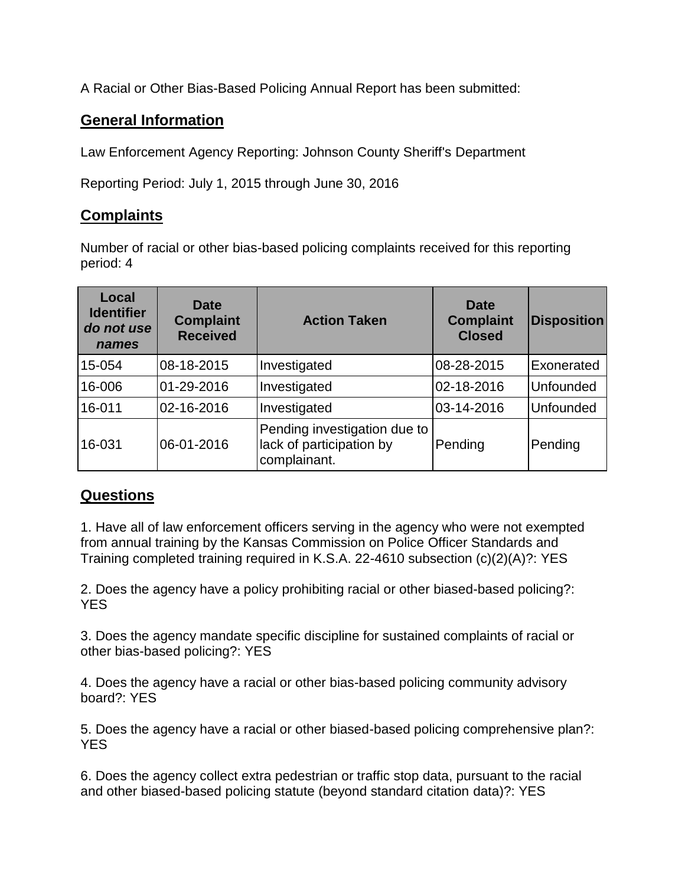A Racial or Other Bias-Based Policing Annual Report has been submitted:

## **General Information**

Law Enforcement Agency Reporting: Johnson County Sheriff's Department

Reporting Period: July 1, 2015 through June 30, 2016

## **Complaints**

Number of racial or other bias-based policing complaints received for this reporting period: 4

| Local<br><b>Identifier</b><br>do not use<br>names | Date<br><b>Complaint</b><br><b>Received</b> | <b>Action Taken</b>                                                      | <b>Date</b><br><b>Complaint</b><br><b>Closed</b> | <b>Disposition</b> |
|---------------------------------------------------|---------------------------------------------|--------------------------------------------------------------------------|--------------------------------------------------|--------------------|
| 15-054                                            | 08-18-2015                                  | Investigated                                                             | 08-28-2015                                       | Exonerated         |
| 16-006                                            | 01-29-2016                                  | Investigated                                                             | 02-18-2016                                       | Unfounded          |
| 16-011                                            | 02-16-2016                                  | Investigated                                                             | 03-14-2016                                       | Unfounded          |
| 16-031                                            | 06-01-2016                                  | Pending investigation due to<br>lack of participation by<br>complainant. | Pending                                          | Pending            |

## **Questions**

1. Have all of law enforcement officers serving in the agency who were not exempted from annual training by the Kansas Commission on Police Officer Standards and Training completed training required in K.S.A. 22-4610 subsection (c)(2)(A)?: YES

2. Does the agency have a policy prohibiting racial or other biased-based policing?: YES

3. Does the agency mandate specific discipline for sustained complaints of racial or other bias-based policing?: YES

4. Does the agency have a racial or other bias-based policing community advisory board?: YES

5. Does the agency have a racial or other biased-based policing comprehensive plan?: YES

6. Does the agency collect extra pedestrian or traffic stop data, pursuant to the racial and other biased-based policing statute (beyond standard citation data)?: YES